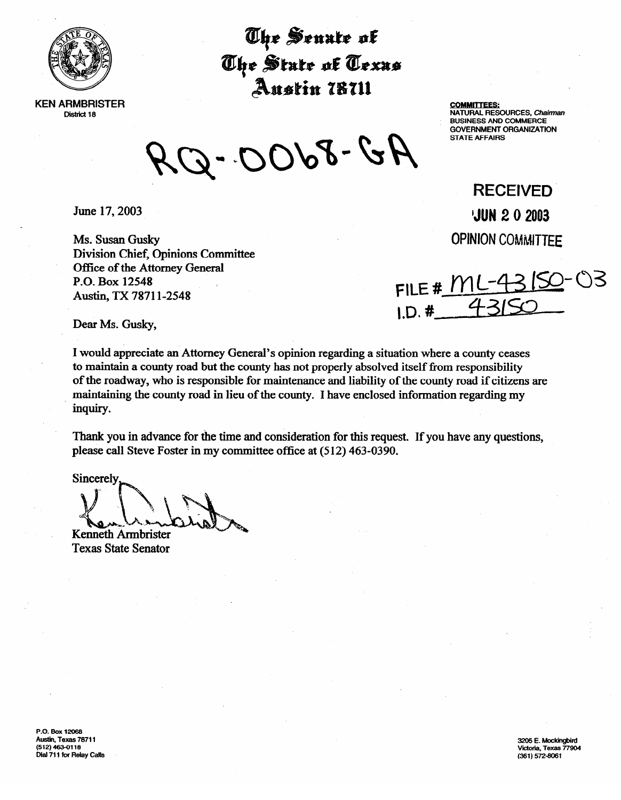

The Senate of The State of Texas Austin 78711

 $A2 - 8000 -$ 

**COMMITTEES:** 

NATURAL RESOURCES, Chairman<br>BUSINESS AND COMMERCE BUSINESS AND COMMERCE GOVERNMENT ORGANIZATION STATE AFFAIRS

**RECEIVED**  'JUN 2 0 2003 **OPINION COMMITTEE** 

**03**  FILE #  $Ml$  $1. D.$ #

**KEN ARMBRISTER** District 18

June 17,2003

Ms. Susan Gusky Division Chief, Opinions Committee Office of the Attorney General<br>P.O. Box 12548  $P. \cup.$  Box 12548<br>P.o. 1. The final Austin, TX 78711-2548

Dear Ms. Gusky,

I would appreciate an Attorney General's opinion regarding a situation where a county ceases of the roadway, who is responsible for maintenance and liability of the county road if citizens are of the roadway, who is responsible for maintenance and having of the county road if citizens are maintaining the county road in lieu of the county. I have enclosed information regarding my inquiry.

Thank you in advance for the time and consideration for this request. If you have any questions, please call Steve Foster in my committee office at  $(512)$  463-0390.  $p_{\text{max}}$  and  $\text{max}$  is the my commutation of  $(512)$  463-0390.

**Sincerely Kenneth Armbrister** 

**Texas State Senator** 

P.O. Box 12068 Austin, Texas 78711 (512) 463-0118 **Dial 711 for Relay Calls** 

3205 E. Mockingbird Victoria, Texas 77904<br>(361) 572-8061